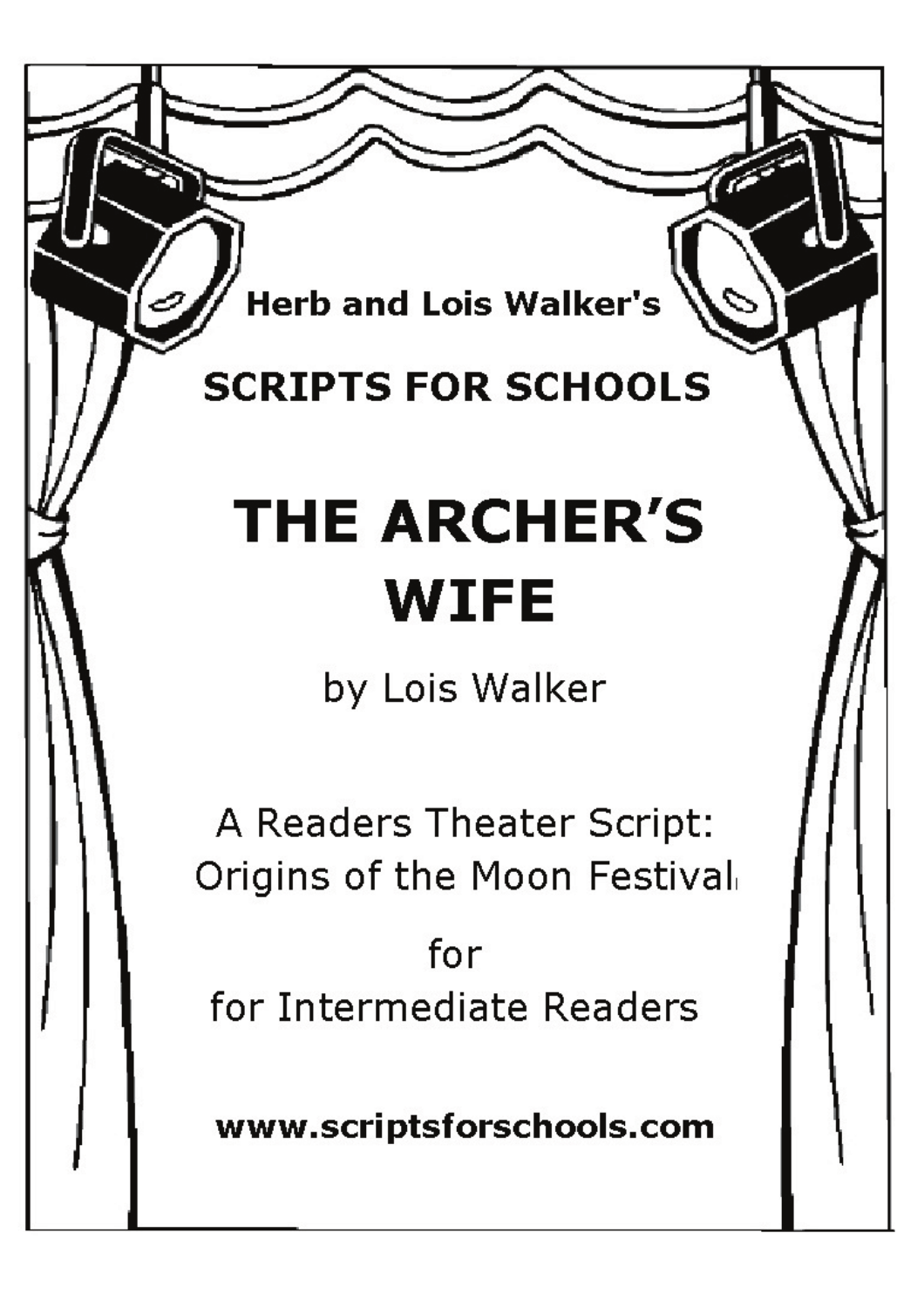**Herb and Lois Walker's** 

# **SCRIPTS FOR SCHOOLS**

# **THE ARCHER'S WIFE**

by Lois Walker

A Readers Theater Script: Origins of the Moon Festival

for for Intermediate Readers

www.scriptsforschools.com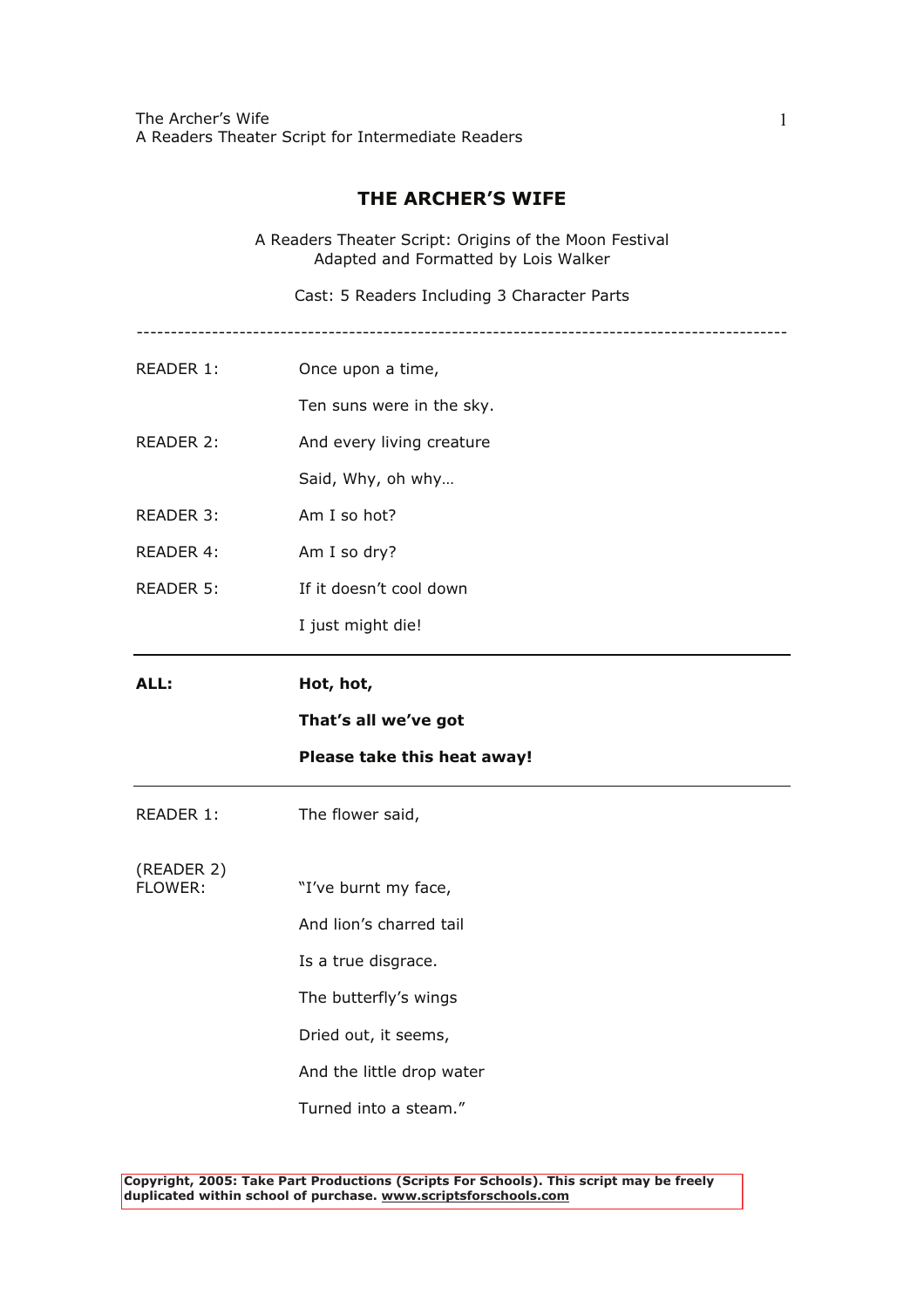The Archer's Wife A Readers Theater Script for Intermediate Readers

## **THE ARCHER'S WIFE**

A Readers Theater Script: Origins of the Moon Festival Adapted and Formatted by Lois Walker

Cast: 5 Readers Including 3 Character Parts

- -----------------------------------------------------------------------------------------------
- READER 1: Once upon a time,

Ten suns were in the sky.

- READER 2: And every living creature
	- Said, Why, oh why…
- READER 3: Am I so hot?
- READER 4: Am I so dry?
- READER 5: If it doesn't cool down
	- I just might die!
- **ALL: Hot, hot,**

### **That's all we've got**

### **Please take this heat away!**

- READER 1: The flower said,
- (READER 2) "I've burnt my face,
	- And lion's charred tail
	- Is a true disgrace.
	- The butterfly's wings
	- Dried out, it seems,
	- And the little drop water
	- Turned into a steam."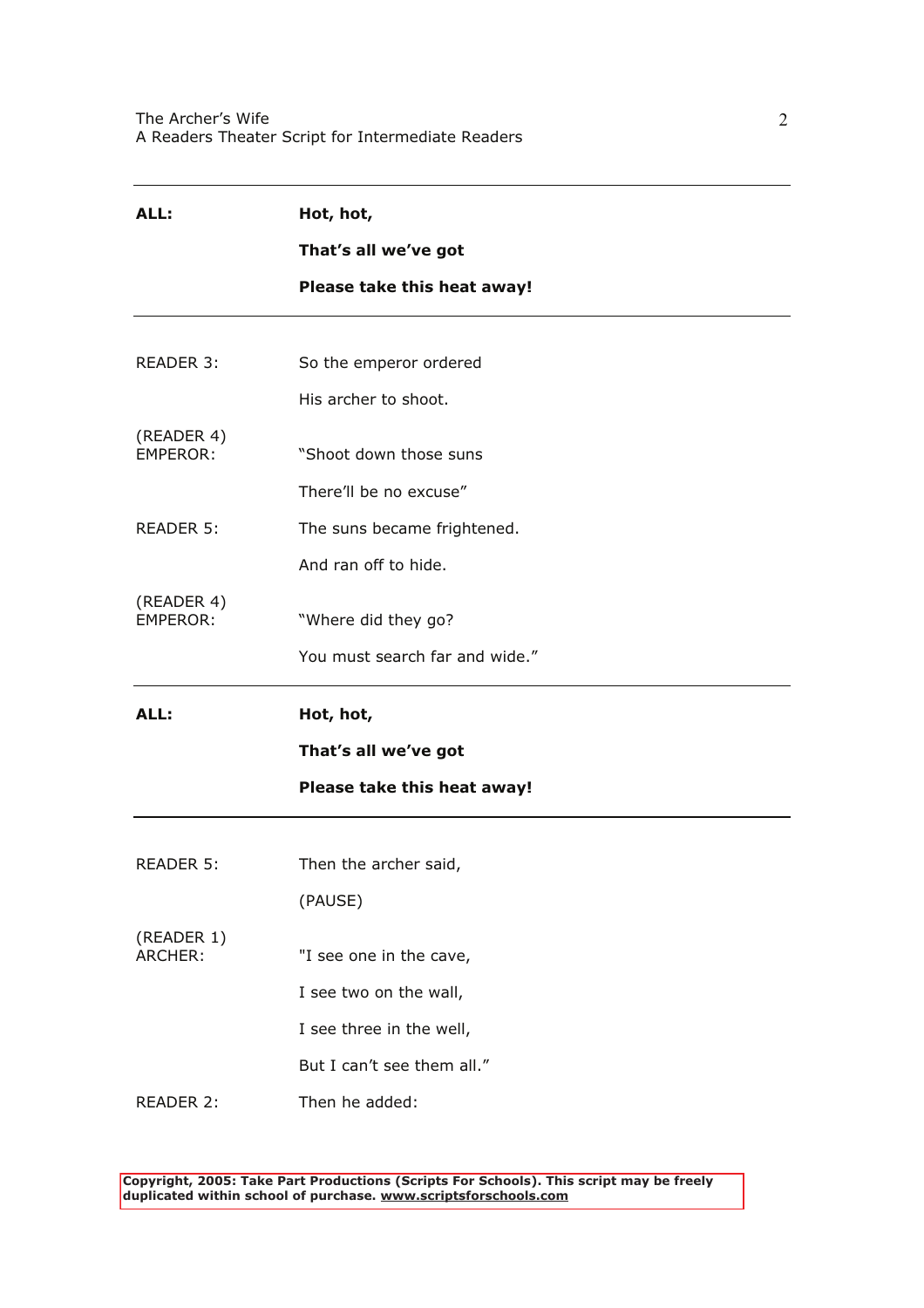| ALL:                          | Hot, hot,                      |  |
|-------------------------------|--------------------------------|--|
|                               | That's all we've got           |  |
|                               | Please take this heat away!    |  |
|                               |                                |  |
| READER 3:                     | So the emperor ordered         |  |
|                               | His archer to shoot.           |  |
| (READER 4)<br><b>EMPEROR:</b> | "Shoot down those suns         |  |
|                               | There'll be no excuse"         |  |
| <b>READER 5:</b>              | The suns became frightened.    |  |
|                               | And ran off to hide.           |  |
| (READER 4)<br><b>EMPEROR:</b> | "Where did they go?            |  |
|                               | You must search far and wide." |  |
| ALL:                          | Hot, hot,                      |  |
|                               | That's all we've got           |  |
|                               | Please take this heat away!    |  |
|                               | Then the archer said,          |  |
| READER 5:                     |                                |  |
|                               | (PAUSE)                        |  |
| (READER 1)<br>ARCHER:         | "I see one in the cave,        |  |
|                               | I see two on the wall,         |  |
|                               | I see three in the well,       |  |
|                               | But I can't see them all."     |  |
| READER 2:                     | Then he added:                 |  |